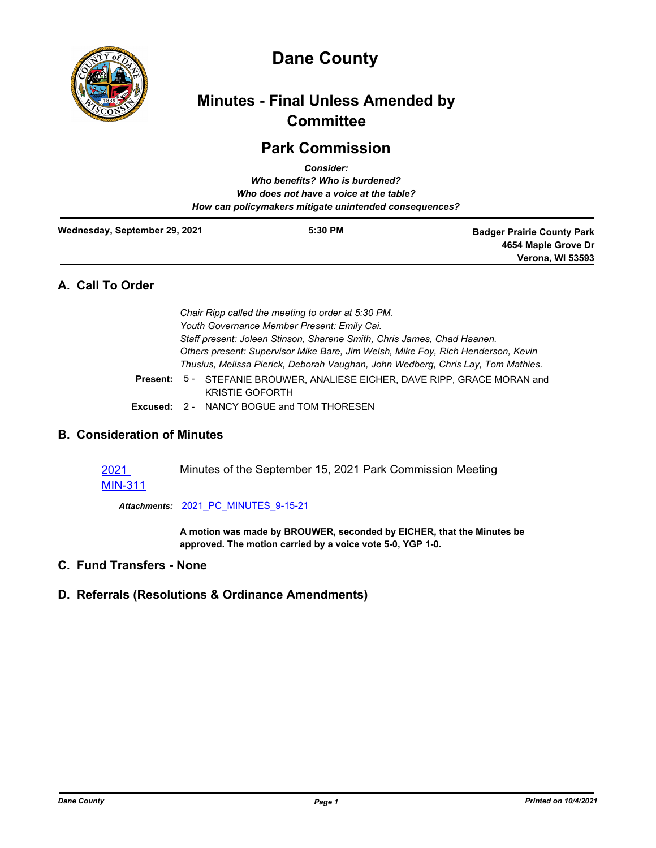

# **Dane County**

## **Minutes - Final Unless Amended by Committee**

## **Park Commission**

|                               | <b>Consider:</b><br>Who benefits? Who is burdened?<br>Who does not have a voice at the table?<br>How can policymakers mitigate unintended consequences? |                                                          |
|-------------------------------|---------------------------------------------------------------------------------------------------------------------------------------------------------|----------------------------------------------------------|
| Wednesday, September 29, 2021 | $5:30$ PM                                                                                                                                               | <b>Badger Prairie County Park</b><br>4654 Maple Grove Dr |
|                               |                                                                                                                                                         | <b>Verona, WI 53593</b>                                  |

## **A. Call To Order**

| Chair Ripp called the meeting to order at 5:30 PM.                               |                                                                                                             |  |
|----------------------------------------------------------------------------------|-------------------------------------------------------------------------------------------------------------|--|
| Youth Governance Member Present: Emily Cai.                                      |                                                                                                             |  |
| Staff present: Joleen Stinson, Sharene Smith, Chris James, Chad Haanen.          |                                                                                                             |  |
| Others present: Supervisor Mike Bare, Jim Welsh, Mike Foy, Rich Henderson, Kevin |                                                                                                             |  |
|                                                                                  | Thusius, Melissa Pierick, Deborah Vaughan, John Wedberg, Chris Lay, Tom Mathies.                            |  |
|                                                                                  | <b>Present: 5 - STEFANIE BROUWER, ANALIESE EICHER, DAVE RIPP, GRACE MORAN and</b><br><b>KRISTIE GOFORTH</b> |  |
|                                                                                  | <b>Excused: 2 - NANCY BOGUE and TOM THORESEN</b>                                                            |  |
|                                                                                  |                                                                                                             |  |

### **B. Consideration of Minutes**

2021 [MIN-311](http://dane.legistar.com/gateway.aspx?m=l&id=/matter.aspx?key=21123) Minutes of the September 15, 2021 Park Commission Meeting

*Attachments:* [2021\\_PC\\_MINUTES\\_9-15-21](http://dane.legistar.com/gateway.aspx?M=F&ID=b772c18d-2f64-4ed8-9db0-f63a21cba517.pdf)

**A motion was made by BROUWER, seconded by EICHER, that the Minutes be approved. The motion carried by a voice vote 5-0, YGP 1-0.**

- **C. Fund Transfers None**
- **D. Referrals (Resolutions & Ordinance Amendments)**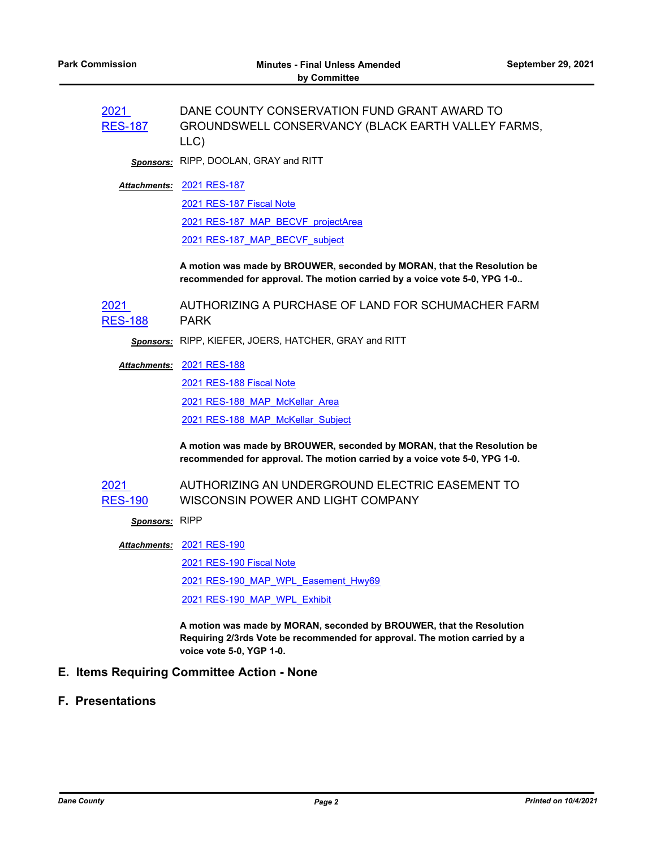| 2021<br><b>RES-187</b> | DANE COUNTY CONSERVATION FUND GRANT AWARD TO<br>GROUNDSWELL CONSERVANCY (BLACK EARTH VALLEY FARMS,<br>LLC)                                                                     |
|------------------------|--------------------------------------------------------------------------------------------------------------------------------------------------------------------------------|
|                        | Sponsors: RIPP, DOOLAN, GRAY and RITT                                                                                                                                          |
|                        | Attachments: 2021 RES-187                                                                                                                                                      |
|                        | 2021 RES-187 Fiscal Note                                                                                                                                                       |
|                        | 2021 RES-187 MAP BECVF projectArea                                                                                                                                             |
|                        | 2021 RES-187 MAP BECVF subject                                                                                                                                                 |
|                        | A motion was made by BROUWER, seconded by MORAN, that the Resolution be<br>recommended for approval. The motion carried by a voice vote 5-0, YPG 1-0                           |
| 2021<br><b>RES-188</b> | AUTHORIZING A PURCHASE OF LAND FOR SCHUMACHER FARM<br><b>PARK</b>                                                                                                              |
|                        | Sponsors: RIPP, KIEFER, JOERS, HATCHER, GRAY and RITT                                                                                                                          |
|                        | <b>Attachments: 2021 RES-188</b>                                                                                                                                               |
|                        | 2021 RES-188 Fiscal Note                                                                                                                                                       |
|                        | 2021 RES-188 MAP McKellar Area                                                                                                                                                 |
|                        | 2021 RES-188 MAP McKellar Subject                                                                                                                                              |
|                        | A motion was made by BROUWER, seconded by MORAN, that the Resolution be<br>recommended for approval. The motion carried by a voice vote 5-0, YPG 1-0.                          |
| 2021                   | AUTHORIZING AN UNDERGROUND ELECTRIC EASEMENT TO                                                                                                                                |
| <b>RES-190</b>         | WISCONSIN POWER AND LIGHT COMPANY                                                                                                                                              |
| Sponsors: RIPP         |                                                                                                                                                                                |
|                        | <b>Attachments: 2021 RES-190</b>                                                                                                                                               |
|                        | <b>2021 RES-190 Fiscal Note</b>                                                                                                                                                |
|                        | 2021 RES-190 MAP WPL Easement Hwy69                                                                                                                                            |
|                        | 2021 RES-190 MAP WPL Exhibit                                                                                                                                                   |
|                        | A motion was made by MORAN, seconded by BROUWER, that the Resolution<br>Requiring 2/3rds Vote be recommended for approval. The motion carried by a<br>voice vote 5-0, YGP 1-0. |

## **E. Items Requiring Committee Action - None**

### **F. Presentations**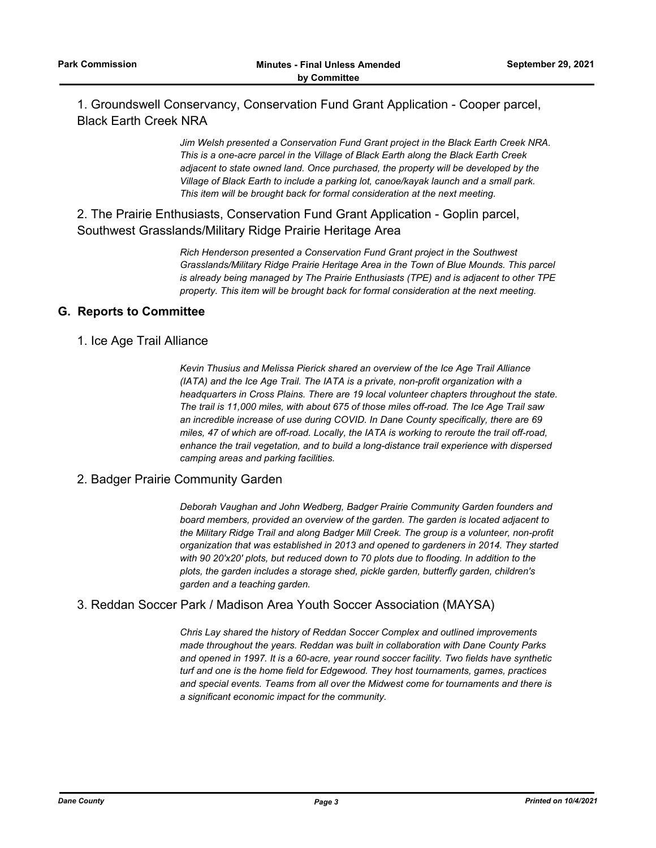1. Groundswell Conservancy, Conservation Fund Grant Application - Cooper parcel, Black Earth Creek NRA

> *Jim Welsh presented a Conservation Fund Grant project in the Black Earth Creek NRA. This is a one-acre parcel in the Village of Black Earth along the Black Earth Creek adjacent to state owned land. Once purchased, the property will be developed by the Village of Black Earth to include a parking lot, canoe/kayak launch and a small park. This item will be brought back for formal consideration at the next meeting.*

2. The Prairie Enthusiasts, Conservation Fund Grant Application - Goplin parcel, Southwest Grasslands/Military Ridge Prairie Heritage Area

> *Rich Henderson presented a Conservation Fund Grant project in the Southwest Grasslands/Military Ridge Prairie Heritage Area in the Town of Blue Mounds. This parcel is already being managed by The Prairie Enthusiasts (TPE) and is adjacent to other TPE property. This item will be brought back for formal consideration at the next meeting.*

#### **G. Reports to Committee**

#### 1. Ice Age Trail Alliance

*Kevin Thusius and Melissa Pierick shared an overview of the Ice Age Trail Alliance (IATA) and the Ice Age Trail. The IATA is a private, non-profit organization with a headquarters in Cross Plains. There are 19 local volunteer chapters throughout the state. The trail is 11,000 miles, with about 675 of those miles off-road. The Ice Age Trail saw an incredible increase of use during COVID. In Dane County specifically, there are 69 miles, 47 of which are off-road. Locally, the IATA is working to reroute the trail off-road, enhance the trail vegetation, and to build a long-distance trail experience with dispersed camping areas and parking facilities.*

#### 2. Badger Prairie Community Garden

*Deborah Vaughan and John Wedberg, Badger Prairie Community Garden founders and board members, provided an overview of the garden. The garden is located adjacent to the Military Ridge Trail and along Badger Mill Creek. The group is a volunteer, non-profit organization that was established in 2013 and opened to gardeners in 2014. They started with 90 20'x20' plots, but reduced down to 70 plots due to flooding. In addition to the plots, the garden includes a storage shed, pickle garden, butterfly garden, children's garden and a teaching garden.*

#### 3. Reddan Soccer Park / Madison Area Youth Soccer Association (MAYSA)

*Chris Lay shared the history of Reddan Soccer Complex and outlined improvements made throughout the years. Reddan was built in collaboration with Dane County Parks and opened in 1997. It is a 60-acre, year round soccer facility. Two fields have synthetic turf and one is the home field for Edgewood. They host tournaments, games, practices and special events. Teams from all over the Midwest come for tournaments and there is a significant economic impact for the community.*